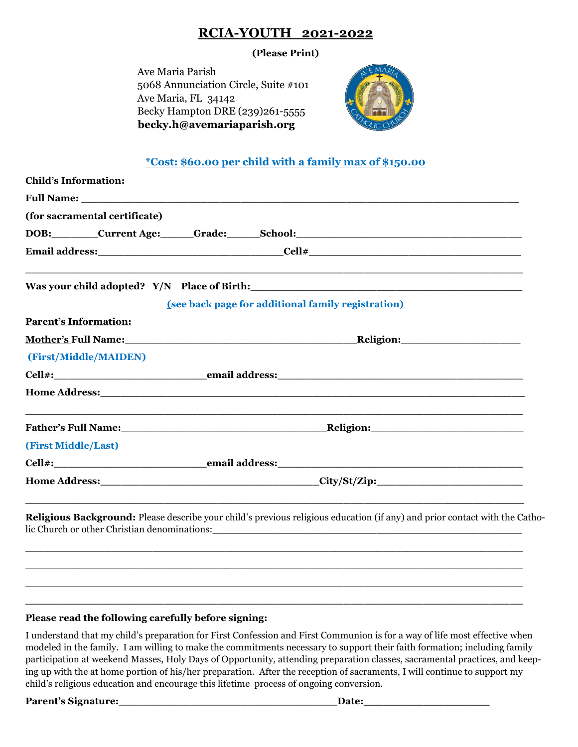## **RCIA-YOUTH 2021-2022**

## **(Please Print)**

 Ave Maria Parish 5068 Annunciation Circle, Suite #101 Ave Maria, FL 34142 Becky Hampton DRE (239)261-5555  **becky.h@avemariaparish.org** 



## **\*Cost: \$60.00 per child with a family max of \$150.00**

| <b>Child's Information:</b>   |                                                                                                                                                                                                                                                     |  |
|-------------------------------|-----------------------------------------------------------------------------------------------------------------------------------------------------------------------------------------------------------------------------------------------------|--|
|                               |                                                                                                                                                                                                                                                     |  |
| (for sacramental certificate) |                                                                                                                                                                                                                                                     |  |
|                               | DOB: Current Age: Grade: School: Communication Current Age: Cardiac School:                                                                                                                                                                         |  |
|                               |                                                                                                                                                                                                                                                     |  |
|                               | Was your child adopted? Y/N Place of Birth:                                                                                                                                                                                                         |  |
|                               | (see back page for additional family registration)                                                                                                                                                                                                  |  |
| <b>Parent's Information:</b>  |                                                                                                                                                                                                                                                     |  |
|                               |                                                                                                                                                                                                                                                     |  |
| (First/Middle/MAIDEN)         |                                                                                                                                                                                                                                                     |  |
|                               |                                                                                                                                                                                                                                                     |  |
|                               |                                                                                                                                                                                                                                                     |  |
|                               | <b>Father's Full Name:</b> The Communication of the Religion:                                                                                                                                                                                       |  |
| (First Middle/Last)           |                                                                                                                                                                                                                                                     |  |
|                               |                                                                                                                                                                                                                                                     |  |
|                               |                                                                                                                                                                                                                                                     |  |
|                               | Religious Background: Please describe your child's previous religious education (if any) and prior contact with the Catho-<br>lic Church or other Christian denominations: University of the Church of the Church or other Christian denominations: |  |

## **Please read the following carefully before signing:**

I understand that my child's preparation for First Confession and First Communion is for a way of life most effective when modeled in the family. I am willing to make the commitments necessary to support their faith formation; including family participation at weekend Masses, Holy Days of Opportunity, attending preparation classes, sacramental practices, and keeping up with the at home portion of his/her preparation. After the reception of sacraments, I will continue to support my child's religious education and encourage this lifetime process of ongoing conversion.

**\_\_\_\_\_\_\_\_\_\_\_\_\_\_\_\_\_\_\_\_\_\_\_\_\_\_\_\_\_\_\_\_\_\_\_\_\_\_\_\_\_\_\_\_\_\_\_\_\_\_\_\_\_\_\_\_\_\_\_\_\_\_\_\_\_\_\_\_\_\_\_\_\_\_\_ \_\_\_\_\_\_\_\_\_\_\_\_\_\_\_\_\_\_\_\_\_\_\_\_\_\_\_\_\_\_\_\_\_\_\_\_\_\_\_\_\_\_\_\_\_\_\_\_\_\_\_\_\_\_\_\_\_\_\_\_\_\_\_\_\_\_\_\_\_\_\_\_\_\_\_ \_\_\_\_\_\_\_\_\_\_\_\_\_\_\_\_\_\_\_\_\_\_\_\_\_\_\_\_\_\_\_\_\_\_\_\_\_\_\_\_\_\_\_\_\_\_\_\_\_\_\_\_\_\_\_\_\_\_\_\_\_\_\_\_\_\_\_\_\_\_\_\_\_\_\_**

**Parent's Signature: Date: Date: Date: Date: Date: Date: Date: Date: Date: Date: Date: Date: Date: Date: Date: Date: Date: Date: Date: Date: Date: Date: Date: Date: Date:**